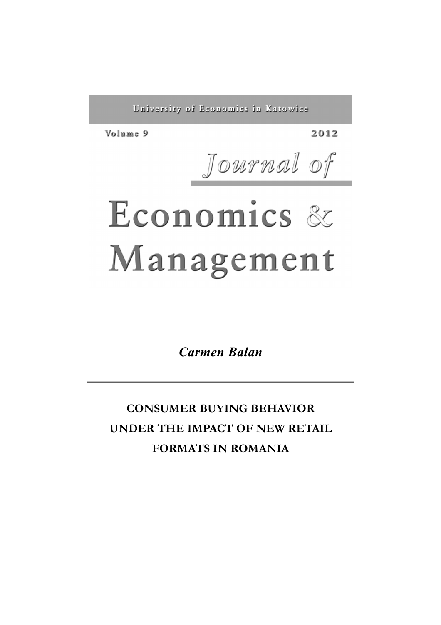University of Economics in Katowice

Volume 9

2012

Journal of

# Economics & Management

*Carmen Balan* 

**CONSUMER BUYING BEHAVIOR UNDER THE IMPACT OF NEW RETAIL FORMATS IN ROMANIA**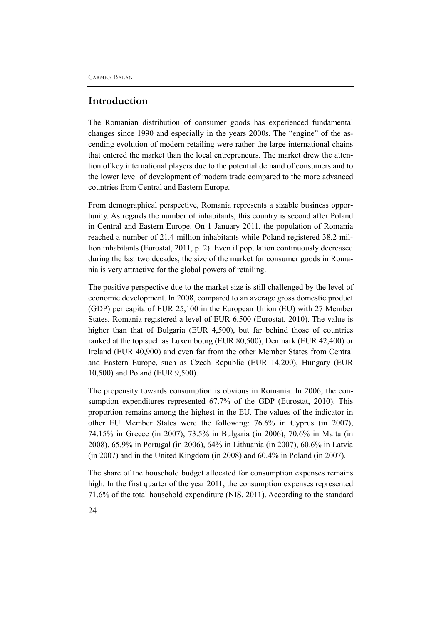#### **Introduction**

The Romanian distribution of consumer goods has experienced fundamental changes since 1990 and especially in the years 2000s. The "engine" of the ascending evolution of modern retailing were rather the large international chains that entered the market than the local entrepreneurs. The market drew the attention of key international players due to the potential demand of consumers and to the lower level of development of modern trade compared to the more advanced countries from Central and Eastern Europe.

From demographical perspective, Romania represents a sizable business opportunity. As regards the number of inhabitants, this country is second after Poland in Central and Eastern Europe. On 1 January 2011, the population of Romania reached a number of 21.4 million inhabitants while Poland registered 38.2 million inhabitants (Eurostat, 2011, p. 2). Even if population continuously decreased during the last two decades, the size of the market for consumer goods in Romania is very attractive for the global powers of retailing.

The positive perspective due to the market size is still challenged by the level of economic development. In 2008, compared to an average gross domestic product (GDP) per capita of EUR 25,100 in the European Union (EU) with 27 Member States, Romania registered a level of EUR 6,500 (Eurostat, 2010). The value is higher than that of Bulgaria (EUR 4,500), but far behind those of countries ranked at the top such as Luxembourg (EUR 80,500), Denmark (EUR 42,400) or Ireland (EUR 40,900) and even far from the other Member States from Central and Eastern Europe, such as Czech Republic (EUR 14,200), Hungary (EUR 10,500) and Poland (EUR 9,500).

The propensity towards consumption is obvious in Romania. In 2006, the consumption expenditures represented 67.7% of the GDP (Eurostat, 2010). This proportion remains among the highest in the EU. The values of the indicator in other EU Member States were the following: 76.6% in Cyprus (in 2007), 74.15% in Greece (in 2007), 73.5% in Bulgaria (in 2006), 70.6% in Malta (in 2008), 65.9% in Portugal (in 2006), 64% in Lithuania (in 2007), 60.6% in Latvia (in 2007) and in the United Kingdom (in 2008) and 60.4% in Poland (in 2007).

The share of the household budget allocated for consumption expenses remains high. In the first quarter of the year 2011, the consumption expenses represented 71.6% of the total household expenditure (NIS, 2011). According to the standard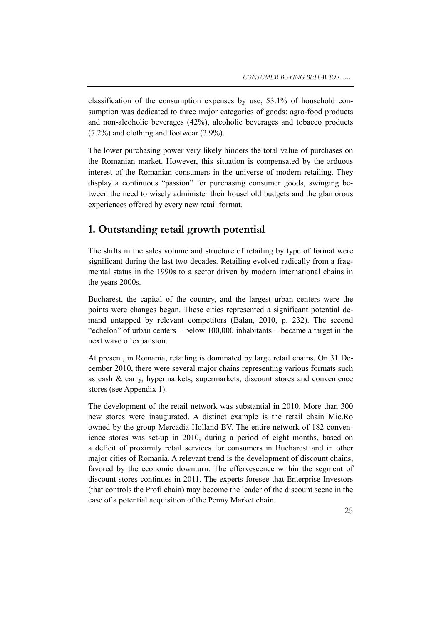classification of the consumption expenses by use, 53.1% of household consumption was dedicated to three major categories of goods: agro-food products and non-alcoholic beverages (42%), alcoholic beverages and tobacco products (7.2%) and clothing and footwear (3.9%).

The lower purchasing power very likely hinders the total value of purchases on the Romanian market. However, this situation is compensated by the arduous interest of the Romanian consumers in the universe of modern retailing. They display a continuous "passion" for purchasing consumer goods, swinging between the need to wisely administer their household budgets and the glamorous experiences offered by every new retail format.

# **1. Outstanding retail growth potential**

The shifts in the sales volume and structure of retailing by type of format were significant during the last two decades. Retailing evolved radically from a fragmental status in the 1990s to a sector driven by modern international chains in the years 2000s.

Bucharest, the capital of the country, and the largest urban centers were the points were changes began. These cities represented a significant potential demand untapped by relevant competitors (Balan, 2010, p. 232). The second "echelon" of urban centers − below 100,000 inhabitants − became a target in the next wave of expansion.

At present, in Romania, retailing is dominated by large retail chains. On 31 December 2010, there were several major chains representing various formats such as cash & carry, hypermarkets, supermarkets, discount stores and convenience stores (see Appendix 1).

The development of the retail network was substantial in 2010. More than 300 new stores were inaugurated. A distinct example is the retail chain Mic.Ro owned by the group Mercadia Holland BV. The entire network of 182 convenience stores was set-up in 2010, during a period of eight months, based on a deficit of proximity retail services for consumers in Bucharest and in other major cities of Romania. A relevant trend is the development of discount chains, favored by the economic downturn. The effervescence within the segment of discount stores continues in 2011. The experts foresee that Enterprise Investors (that controls the Profi chain) may become the leader of the discount scene in the case of a potential acquisition of the Penny Market chain.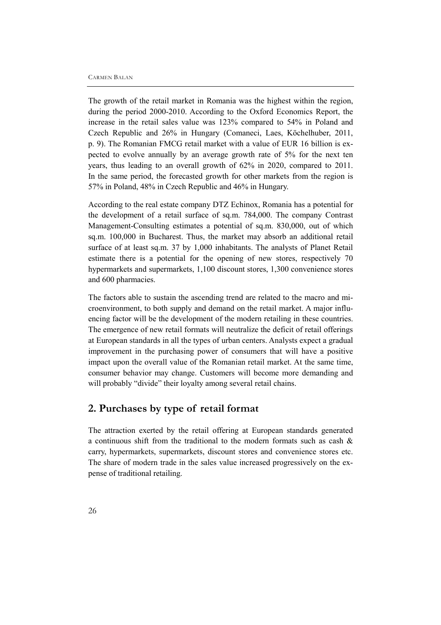The growth of the retail market in Romania was the highest within the region, during the period 2000-2010. According to the Oxford Economics Report, the increase in the retail sales value was 123% compared to 54% in Poland and Czech Republic and 26% in Hungary (Comaneci, Laes, Köchelhuber, 2011, p. 9). The Romanian FMCG retail market with a value of EUR 16 billion is expected to evolve annually by an average growth rate of 5% for the next ten years, thus leading to an overall growth of 62% in 2020, compared to 2011. In the same period, the forecasted growth for other markets from the region is 57% in Poland, 48% in Czech Republic and 46% in Hungary.

According to the real estate company DTZ Echinox, Romania has a potential for the development of a retail surface of sq.m. 784,000. The company Contrast Management-Consulting estimates a potential of sq.m. 830,000, out of which sq.m. 100,000 in Bucharest. Thus, the market may absorb an additional retail surface of at least sq.m. 37 by 1,000 inhabitants. The analysts of Planet Retail estimate there is a potential for the opening of new stores, respectively 70 hypermarkets and supermarkets, 1,100 discount stores, 1,300 convenience stores and 600 pharmacies.

The factors able to sustain the ascending trend are related to the macro and microenvironment, to both supply and demand on the retail market. A major influencing factor will be the development of the modern retailing in these countries. The emergence of new retail formats will neutralize the deficit of retail offerings at European standards in all the types of urban centers. Analysts expect a gradual improvement in the purchasing power of consumers that will have a positive impact upon the overall value of the Romanian retail market. At the same time, consumer behavior may change. Customers will become more demanding and will probably "divide" their loyalty among several retail chains.

### **2. Purchases by type of retail format**

The attraction exerted by the retail offering at European standards generated a continuous shift from the traditional to the modern formats such as cash & carry, hypermarkets, supermarkets, discount stores and convenience stores etc. The share of modern trade in the sales value increased progressively on the expense of traditional retailing.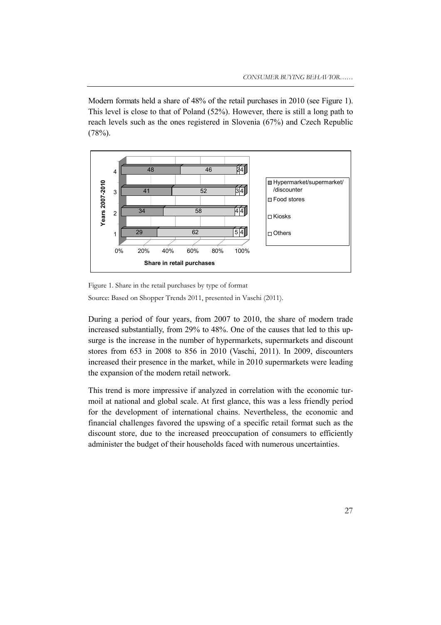Modern formats held a share of 48% of the retail purchases in 2010 (see Figure 1). This level is close to that of Poland (52%). However, there is still a long path to reach levels such as the ones registered in Slovenia (67%) and Czech Republic  $(78%)$ .



Figure 1. Share in the retail purchases by type of format Source: Based on Shopper Trends 2011, presented in Vaschi (2011).

During a period of four years, from 2007 to 2010, the share of modern trade increased substantially, from 29% to 48%. One of the causes that led to this upsurge is the increase in the number of hypermarkets, supermarkets and discount stores from 653 in 2008 to 856 in 2010 (Vaschi, 2011). In 2009, discounters increased their presence in the market, while in 2010 supermarkets were leading the expansion of the modern retail network.

This trend is more impressive if analyzed in correlation with the economic turmoil at national and global scale. At first glance, this was a less friendly period for the development of international chains. Nevertheless, the economic and financial challenges favored the upswing of a specific retail format such as the discount store, due to the increased preoccupation of consumers to efficiently administer the budget of their households faced with numerous uncertainties.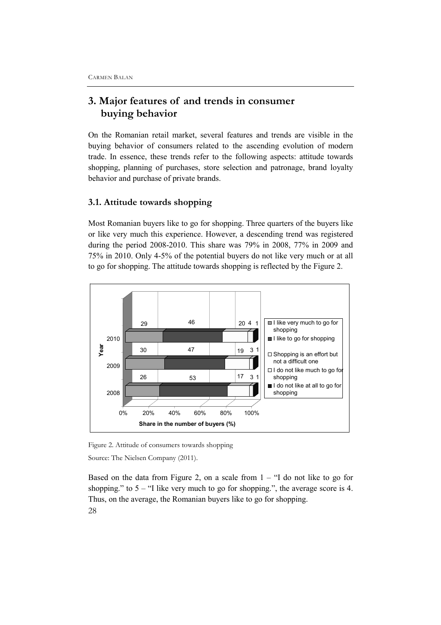# **3. Major features of and trends in consumer buying behavior**

On the Romanian retail market, several features and trends are visible in the buying behavior of consumers related to the ascending evolution of modern trade. In essence, these trends refer to the following aspects: attitude towards shopping, planning of purchases, store selection and patronage, brand loyalty behavior and purchase of private brands.

#### **3.1. Attitude towards shopping**

Most Romanian buyers like to go for shopping. Three quarters of the buyers like or like very much this experience. However, a descending trend was registered during the period 2008-2010. This share was 79% in 2008, 77% in 2009 and 75% in 2010. Only 4-5% of the potential buyers do not like very much or at all to go for shopping. The attitude towards shopping is reflected by the Figure 2.



Figure 2. Attitude of consumers towards shopping Source: The Nielsen Company (2011).

28 Based on the data from Figure 2, on a scale from  $1 -$  "I do not like to go for shopping." to  $5 -$  "I like very much to go for shopping.", the average score is 4. Thus, on the average, the Romanian buyers like to go for shopping.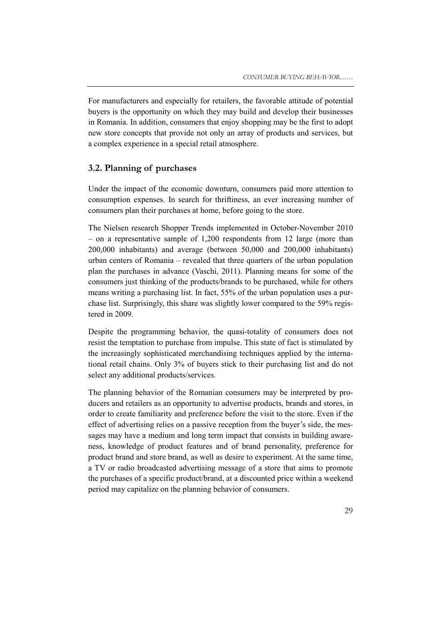For manufacturers and especially for retailers, the favorable attitude of potential buyers is the opportunity on which they may build and develop their businesses in Romania. In addition, consumers that enjoy shopping may be the first to adopt new store concepts that provide not only an array of products and services, but a complex experience in a special retail atmosphere.

#### **3.2. Planning of purchases**

Under the impact of the economic downturn, consumers paid more attention to consumption expenses. In search for thriftiness, an ever increasing number of consumers plan their purchases at home, before going to the store.

The Nielsen research Shopper Trends implemented in October-November 2010 – on a representative sample of 1,200 respondents from 12 large (more than 200,000 inhabitants) and average (between 50,000 and 200,000 inhabitants) urban centers of Romania – revealed that three quarters of the urban population plan the purchases in advance (Vaschi, 2011). Planning means for some of the consumers just thinking of the products/brands to be purchased, while for others means writing a purchasing list. In fact, 55% of the urban population uses a purchase list. Surprisingly, this share was slightly lower compared to the 59% registered in 2009.

Despite the programming behavior, the quasi-totality of consumers does not resist the temptation to purchase from impulse. This state of fact is stimulated by the increasingly sophisticated merchandising techniques applied by the international retail chains. Only 3% of buyers stick to their purchasing list and do not select any additional products/services.

The planning behavior of the Romanian consumers may be interpreted by producers and retailers as an opportunity to advertise products, brands and stores, in order to create familiarity and preference before the visit to the store. Even if the effect of advertising relies on a passive reception from the buyer's side, the messages may have a medium and long term impact that consists in building awareness, knowledge of product features and of brand personality, preference for product brand and store brand, as well as desire to experiment. At the same time, a TV or radio broadcasted advertising message of a store that aims to promote the purchases of a specific product/brand, at a discounted price within a weekend period may capitalize on the planning behavior of consumers.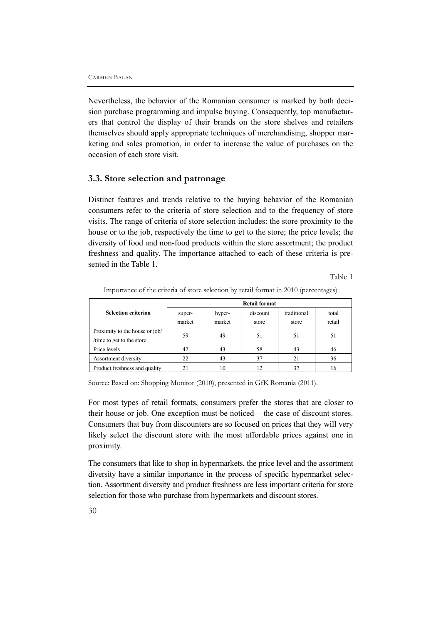Nevertheless, the behavior of the Romanian consumer is marked by both decision purchase programming and impulse buying. Consequently, top manufacturers that control the display of their brands on the store shelves and retailers themselves should apply appropriate techniques of merchandising, shopper marketing and sales promotion, in order to increase the value of purchases on the occasion of each store visit.

#### **3.3. Store selection and patronage**

Distinct features and trends relative to the buying behavior of the Romanian consumers refer to the criteria of store selection and to the frequency of store visits. The range of criteria of store selection includes: the store proximity to the house or to the job, respectively the time to get to the store; the price levels; the diversity of food and non-food products within the store assortment; the product freshness and quality. The importance attached to each of these criteria is presented in the Table 1.

Table 1

| <b>Selection criterion</b>                                  | <b>Retail format</b> |                  |                   |                      |                 |  |
|-------------------------------------------------------------|----------------------|------------------|-------------------|----------------------|-----------------|--|
|                                                             | super-<br>market     | hyper-<br>market | discount<br>store | traditional<br>store | total<br>retail |  |
| Proximity to the house or job/<br>/time to get to the store | 59                   | 49               | 51                | 51                   | 51              |  |
| Price levels                                                | 42                   | 43               | 58                | 43                   | 46              |  |
| Assortment diversity                                        | 22                   | 43               | 37                | 21                   | 36              |  |
| Product freshness and quality                               | 21                   | 10               | 12                | 37                   | 16              |  |

Importance of the criteria of store selection by retail format in 2010 (percentages)

Source: Based on: Shopping Monitor (2010), presented in GfK Romania (2011).

For most types of retail formats, consumers prefer the stores that are closer to their house or job. One exception must be noticed − the case of discount stores. Consumers that buy from discounters are so focused on prices that they will very likely select the discount store with the most affordable prices against one in proximity.

The consumers that like to shop in hypermarkets, the price level and the assortment diversity have a similar importance in the process of specific hypermarket selection. Assortment diversity and product freshness are less important criteria for store selection for those who purchase from hypermarkets and discount stores.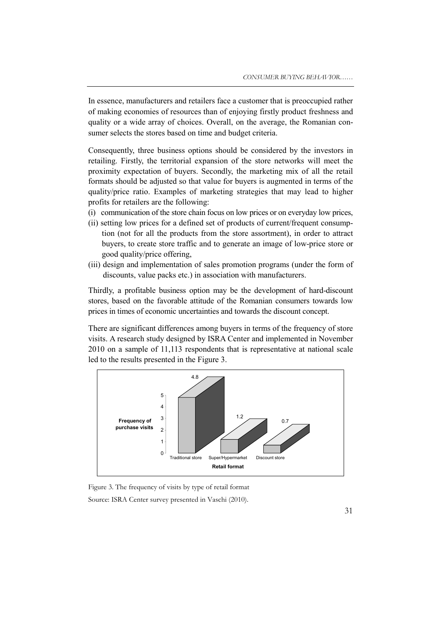In essence, manufacturers and retailers face a customer that is preoccupied rather of making economies of resources than of enjoying firstly product freshness and quality or a wide array of choices. Overall, on the average, the Romanian consumer selects the stores based on time and budget criteria.

Consequently, three business options should be considered by the investors in retailing. Firstly, the territorial expansion of the store networks will meet the proximity expectation of buyers. Secondly, the marketing mix of all the retail formats should be adjusted so that value for buyers is augmented in terms of the quality/price ratio. Examples of marketing strategies that may lead to higher profits for retailers are the following:

- (i) communication of the store chain focus on low prices or on everyday low prices,
- (ii) setting low prices for a defined set of products of current/frequent consumption (not for all the products from the store assortment), in order to attract buyers, to create store traffic and to generate an image of low-price store or good quality/price offering,
- (iii) design and implementation of sales promotion programs (under the form of discounts, value packs etc.) in association with manufacturers.

Thirdly, a profitable business option may be the development of hard-discount stores, based on the favorable attitude of the Romanian consumers towards low prices in times of economic uncertainties and towards the discount concept.

There are significant differences among buyers in terms of the frequency of store visits. A research study designed by ISRA Center and implemented in November 2010 on a sample of 11,113 respondents that is representative at national scale led to the results presented in the Figure 3.



Figure 3. The frequency of visits by type of retail format Source: ISRA Center survey presented in Vaschi (2010).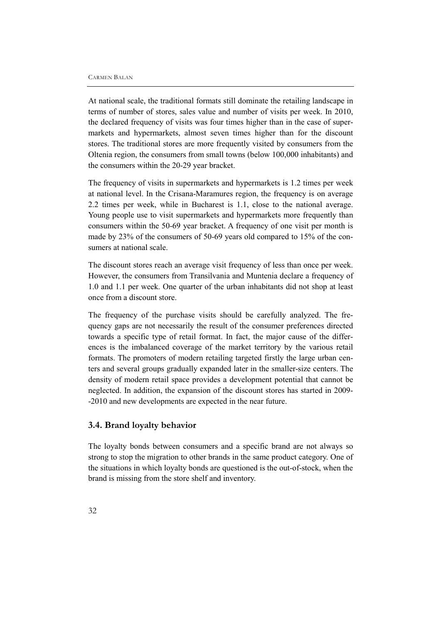At national scale, the traditional formats still dominate the retailing landscape in terms of number of stores, sales value and number of visits per week. In 2010, the declared frequency of visits was four times higher than in the case of supermarkets and hypermarkets, almost seven times higher than for the discount stores. The traditional stores are more frequently visited by consumers from the Oltenia region, the consumers from small towns (below 100,000 inhabitants) and the consumers within the 20-29 year bracket.

The frequency of visits in supermarkets and hypermarkets is 1.2 times per week at national level. In the Crisana-Maramures region, the frequency is on average 2.2 times per week, while in Bucharest is 1.1, close to the national average. Young people use to visit supermarkets and hypermarkets more frequently than consumers within the 50-69 year bracket. A frequency of one visit per month is made by 23% of the consumers of 50-69 years old compared to 15% of the consumers at national scale.

The discount stores reach an average visit frequency of less than once per week. However, the consumers from Transilvania and Muntenia declare a frequency of 1.0 and 1.1 per week. One quarter of the urban inhabitants did not shop at least once from a discount store.

The frequency of the purchase visits should be carefully analyzed. The frequency gaps are not necessarily the result of the consumer preferences directed towards a specific type of retail format. In fact, the major cause of the differences is the imbalanced coverage of the market territory by the various retail formats. The promoters of modern retailing targeted firstly the large urban centers and several groups gradually expanded later in the smaller-size centers. The density of modern retail space provides a development potential that cannot be neglected. In addition, the expansion of the discount stores has started in 2009- -2010 and new developments are expected in the near future.

#### **3.4. Brand loyalty behavior**

The loyalty bonds between consumers and a specific brand are not always so strong to stop the migration to other brands in the same product category. One of the situations in which loyalty bonds are questioned is the out-of-stock, when the brand is missing from the store shelf and inventory.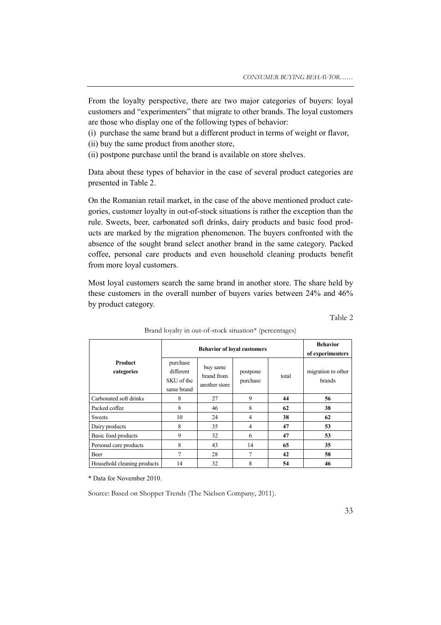From the loyalty perspective, there are two major categories of buyers: loyal customers and "experimenters" that migrate to other brands. The loyal customers are those who display one of the following types of behavior:

- (i) purchase the same brand but a different product in terms of weight or flavor,
- (ii) buy the same product from another store,

(ii) postpone purchase until the brand is available on store shelves.

Data about these types of behavior in the case of several product categories are presented in Table 2.

On the Romanian retail market, in the case of the above mentioned product categories, customer loyalty in out-of-stock situations is rather the exception than the rule. Sweets, beer, carbonated soft drinks, dairy products and basic food products are marked by the migration phenomenon. The buyers confronted with the absence of the sought brand select another brand in the same category. Packed coffee, personal care products and even household cleaning products benefit from more loyal customers.

Most loyal customers search the same brand in another store. The share held by these customers in the overall number of buyers varies between 24% and 46% by product category.

#### Table 2

| <b>Product</b><br>purchase<br>categories<br>different |                          | <b>Behavior</b><br>of experimenters     |                      |       |                              |
|-------------------------------------------------------|--------------------------|-----------------------------------------|----------------------|-------|------------------------------|
|                                                       | SKU of the<br>same brand | buy same<br>brand from<br>another store | postpone<br>purchase | total | migration to other<br>brands |
| Carbonated soft drinks                                | 8                        | 27                                      | 9                    | 44    | 56                           |
| Packed coffee                                         | 8                        | 46                                      | 8                    | 62    | 38                           |
| <b>Sweets</b>                                         | 10                       | 24                                      | $\overline{4}$       | 38    | 62                           |
| Dairy products                                        | 8                        | 35                                      | 4                    | 47    | 53                           |
| Basic food products                                   | 9                        | 32                                      | 6                    | 47    | 53                           |
| Personal care products                                | 8                        | 43                                      | 14                   | 65    | 35                           |
| Beer                                                  | 7                        | 28                                      | $\overline{7}$       | 42    | 58                           |
| Household cleaning products                           | 14                       | 32                                      | 8                    | 54    | 46                           |

Brand loyalty in out-of-stock situation\* (percentages)

\* Data for November 2010.

Source: Based on Shopper Trends (The Nielsen Company, 2011).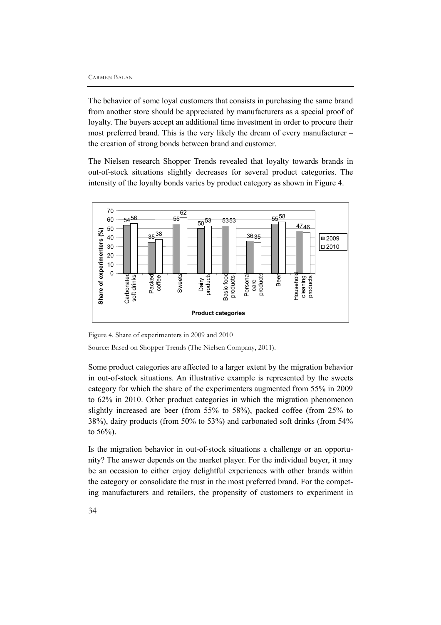The behavior of some loyal customers that consists in purchasing the same brand from another store should be appreciated by manufacturers as a special proof of loyalty. The buyers accept an additional time investment in order to procure their most preferred brand. This is the very likely the dream of every manufacturer – the creation of strong bonds between brand and customer.

The Nielsen research Shopper Trends revealed that loyalty towards brands in out-of-stock situations slightly decreases for several product categories. The intensity of the loyalty bonds varies by product category as shown in Figure 4.



Figure 4. Share of experimenters in 2009 and 2010

Source: Based on Shopper Trends (The Nielsen Company, 2011).

Some product categories are affected to a larger extent by the migration behavior in out-of-stock situations. An illustrative example is represented by the sweets category for which the share of the experimenters augmented from 55% in 2009 to 62% in 2010. Other product categories in which the migration phenomenon slightly increased are beer (from 55% to 58%), packed coffee (from 25% to 38%), dairy products (from 50% to 53%) and carbonated soft drinks (from 54% to 56%).

Is the migration behavior in out-of-stock situations a challenge or an opportunity? The answer depends on the market player. For the individual buyer, it may be an occasion to either enjoy delightful experiences with other brands within the category or consolidate the trust in the most preferred brand. For the competing manufacturers and retailers, the propensity of customers to experiment in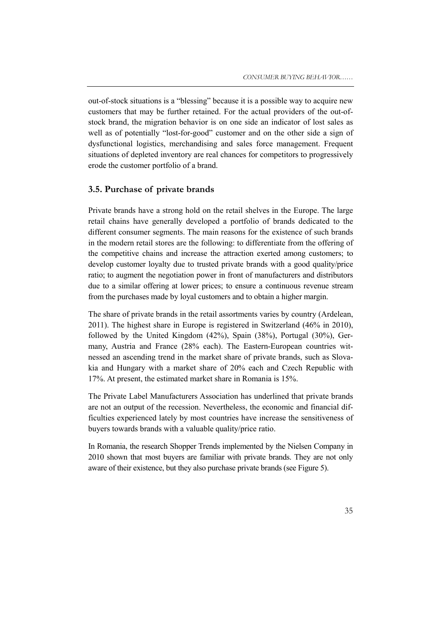out-of-stock situations is a "blessing" because it is a possible way to acquire new customers that may be further retained. For the actual providers of the out-ofstock brand, the migration behavior is on one side an indicator of lost sales as well as of potentially "lost-for-good" customer and on the other side a sign of dysfunctional logistics, merchandising and sales force management. Frequent situations of depleted inventory are real chances for competitors to progressively erode the customer portfolio of a brand.

#### **3.5. Purchase of private brands**

Private brands have a strong hold on the retail shelves in the Europe. The large retail chains have generally developed a portfolio of brands dedicated to the different consumer segments. The main reasons for the existence of such brands in the modern retail stores are the following: to differentiate from the offering of the competitive chains and increase the attraction exerted among customers; to develop customer loyalty due to trusted private brands with a good quality/price ratio; to augment the negotiation power in front of manufacturers and distributors due to a similar offering at lower prices; to ensure a continuous revenue stream from the purchases made by loyal customers and to obtain a higher margin.

The share of private brands in the retail assortments varies by country (Ardelean, 2011). The highest share in Europe is registered in Switzerland (46% in 2010), followed by the United Kingdom (42%), Spain (38%), Portugal (30%), Germany, Austria and France (28% each). The Eastern-European countries witnessed an ascending trend in the market share of private brands, such as Slovakia and Hungary with a market share of 20% each and Czech Republic with 17%. At present, the estimated market share in Romania is 15%.

The Private Label Manufacturers Association has underlined that private brands are not an output of the recession. Nevertheless, the economic and financial difficulties experienced lately by most countries have increase the sensitiveness of buyers towards brands with a valuable quality/price ratio.

In Romania, the research Shopper Trends implemented by the Nielsen Company in 2010 shown that most buyers are familiar with private brands. They are not only aware of their existence, but they also purchase private brands (see Figure 5).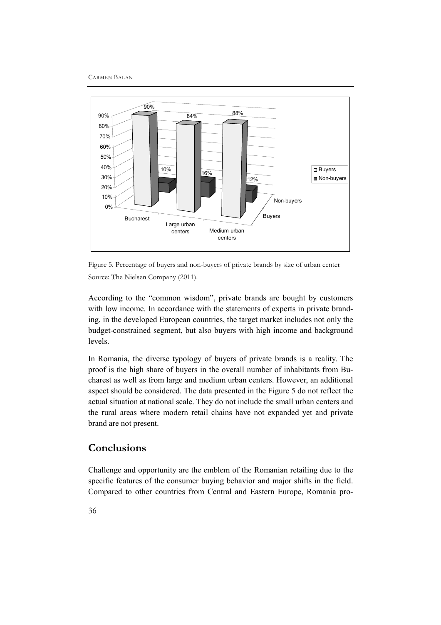CARMEN BALAN



Figure 5. Percentage of buyers and non-buyers of private brands by size of urban center Source: The Nielsen Company (2011).

According to the "common wisdom", private brands are bought by customers with low income. In accordance with the statements of experts in private branding, in the developed European countries, the target market includes not only the budget-constrained segment, but also buyers with high income and background levels.

In Romania, the diverse typology of buyers of private brands is a reality. The proof is the high share of buyers in the overall number of inhabitants from Bucharest as well as from large and medium urban centers. However, an additional aspect should be considered. The data presented in the Figure 5 do not reflect the actual situation at national scale. They do not include the small urban centers and the rural areas where modern retail chains have not expanded yet and private brand are not present.

# **Conclusions**

Challenge and opportunity are the emblem of the Romanian retailing due to the specific features of the consumer buying behavior and major shifts in the field. Compared to other countries from Central and Eastern Europe, Romania pro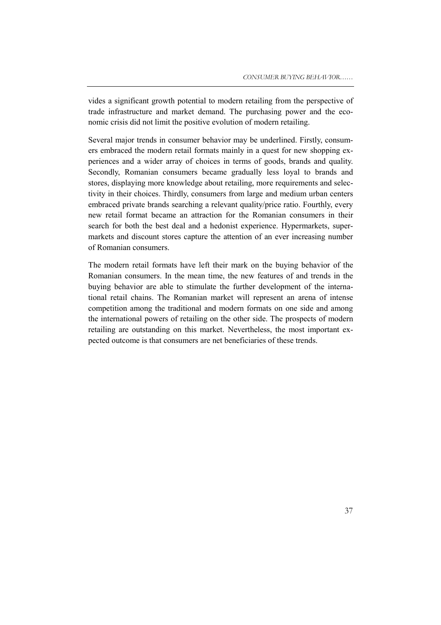vides a significant growth potential to modern retailing from the perspective of trade infrastructure and market demand. The purchasing power and the economic crisis did not limit the positive evolution of modern retailing.

Several major trends in consumer behavior may be underlined. Firstly, consumers embraced the modern retail formats mainly in a quest for new shopping experiences and a wider array of choices in terms of goods, brands and quality. Secondly, Romanian consumers became gradually less loyal to brands and stores, displaying more knowledge about retailing, more requirements and selectivity in their choices. Thirdly, consumers from large and medium urban centers embraced private brands searching a relevant quality/price ratio. Fourthly, every new retail format became an attraction for the Romanian consumers in their search for both the best deal and a hedonist experience. Hypermarkets, supermarkets and discount stores capture the attention of an ever increasing number of Romanian consumers.

The modern retail formats have left their mark on the buying behavior of the Romanian consumers. In the mean time, the new features of and trends in the buying behavior are able to stimulate the further development of the international retail chains. The Romanian market will represent an arena of intense competition among the traditional and modern formats on one side and among the international powers of retailing on the other side. The prospects of modern retailing are outstanding on this market. Nevertheless, the most important expected outcome is that consumers are net beneficiaries of these trends.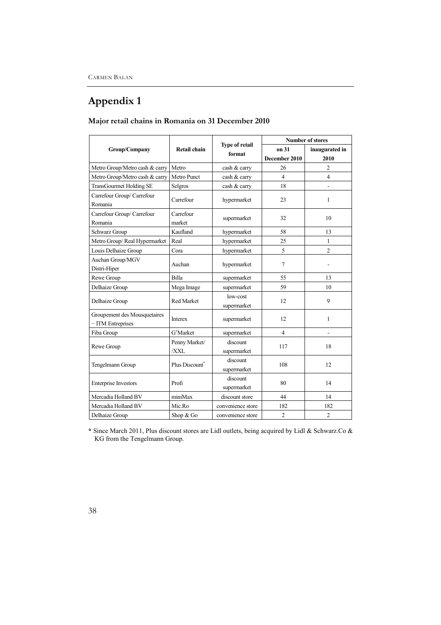# **Appendix 1**

|                                                   | <b>Retail chain</b>         |                                 | <b>Number of stores</b> |                         |  |
|---------------------------------------------------|-----------------------------|---------------------------------|-------------------------|-------------------------|--|
| Group/Company                                     |                             | <b>Type of retail</b><br>format | on 31                   | inaugurated in          |  |
|                                                   |                             |                                 | December 2010           | 2010                    |  |
| Metro Group/Metro cash & carry                    | Metro                       | cash & carry                    | 26                      | 2                       |  |
| Metro Group/Metro cash & carry                    | Metro Punct                 | cash & carry                    | $\overline{4}$          | $\overline{\mathbf{4}}$ |  |
| <b>TransGourmet Holding SE</b>                    | Selgros                     | cash & carry                    | 18                      |                         |  |
| Carrefour Group/ Carrefour<br>Romania             | Carrefour                   | hypermarket                     | 23                      | 1                       |  |
| Carrefour Group/ Carrefour<br>Romania             | Carrefour<br>market         | supermarket                     | 32                      | 10                      |  |
| Schwarz Group                                     | Kaufland                    | hypermarket                     | 58                      | 13                      |  |
| Metro Group/ Real Hypermarket                     | Real                        | hypermarket                     | 25                      | 1                       |  |
| Louis Delhaize Group                              | Cora                        | hypermarket                     | 5                       | $\overline{c}$          |  |
| Auchan Group/MGV<br>Distri-Hiper                  | Auchan                      | hypermarket                     | 7                       |                         |  |
| Rewe Group                                        | Billa                       | supermarket                     | 55                      | 13                      |  |
| Delhaize Group                                    | Mega Image                  | supermarket                     | 59                      | 10                      |  |
| Delhaize Group                                    | <b>Red Market</b>           | low-cost<br>supermarket         | 12                      | 9                       |  |
| Groupement des Mousquetaires<br>- ITM Entreprises | Interex                     | supermarket                     | 12                      | $\mathbf{1}$            |  |
| Fiba Group                                        | G'Market                    | supermarket                     | $\overline{4}$          |                         |  |
| Rewe Group                                        | Penny Market/<br><b>XXL</b> | discount<br>supermarket         | 117                     | 18                      |  |
| Tengelmann Group                                  | Plus Discount <sup>®</sup>  | discount<br>supermarket         | 108                     | 12                      |  |
| <b>Enterprise Investors</b>                       | Profi                       | discount<br>supermarket         | 80                      | 14                      |  |
| Mercadia Holland BV                               | miniMax                     | discount store                  | 44                      | 14                      |  |
| Mercadia Holland BV                               | Mic.Ro                      | convenience store               | 182                     | 182                     |  |
| Delhaize Group                                    | Shop & Go                   | convenience store               | $\overline{2}$          | $\overline{2}$          |  |

## **Major retail chains in Romania on 31 December 2010**

**\*** Since March 2011, Plus discount stores are Lidl outlets, being acquired by Lidl & Schwarz.Co & KG from the Tengelmann Group.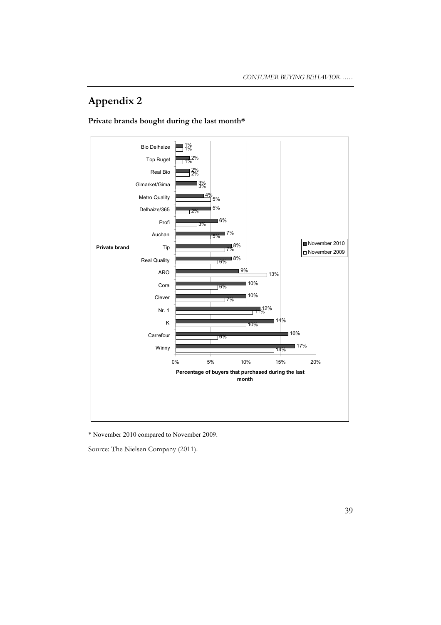# **Appendix 2**





\* November 2010 compared to November 2009.

Source: The Nielsen Company (2011).